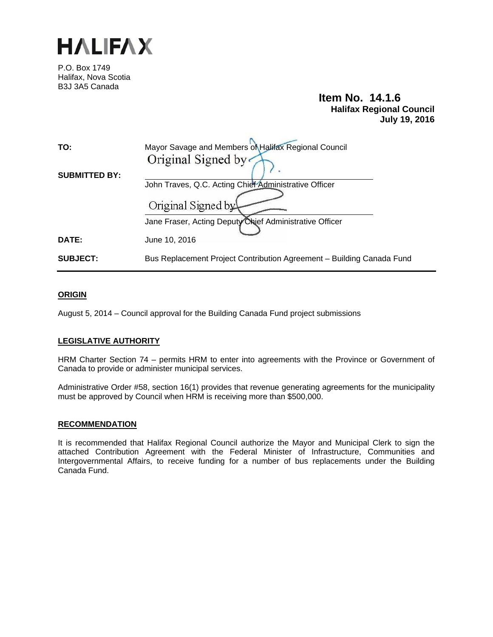

P.O. Box 1749 Halifax, Nova Scotia B3J 3A5 Canada

## **Item No. 14.1.6 Halifax Regional Council July 19, 2016**

| TO:                  | Mayor Savage and Members of Halifax Regional Council                  |
|----------------------|-----------------------------------------------------------------------|
|                      | Original Signed by                                                    |
| <b>SUBMITTED BY:</b> |                                                                       |
|                      | John Traves, Q.C. Acting Chief Administrative Officer                 |
|                      | Original Signed by                                                    |
|                      | Jane Fraser, Acting Deputy Chief Administrative Officer               |
| DATE:                | June 10, 2016                                                         |
| <b>SUBJECT:</b>      | Bus Replacement Project Contribution Agreement – Building Canada Fund |

#### **ORIGIN**

August 5, 2014 – Council approval for the Building Canada Fund project submissions

#### **LEGISLATIVE AUTHORITY**

HRM Charter Section 74 – permits HRM to enter into agreements with the Province or Government of Canada to provide or administer municipal services.

Administrative Order #58, section 16(1) provides that revenue generating agreements for the municipality must be approved by Council when HRM is receiving more than \$500,000.

#### **RECOMMENDATION**

It is recommended that Halifax Regional Council authorize the Mayor and Municipal Clerk to sign the attached Contribution Agreement with the Federal Minister of Infrastructure, Communities and Intergovernmental Affairs, to receive funding for a number of bus replacements under the Building Canada Fund.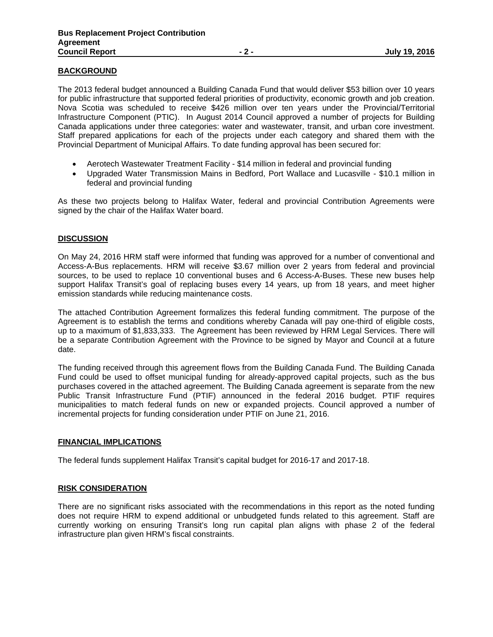#### **BACKGROUND**

The 2013 federal budget announced a Building Canada Fund that would deliver \$53 billion over 10 years for public infrastructure that supported federal priorities of productivity, economic growth and job creation. Nova Scotia was scheduled to receive \$426 million over ten years under the Provincial/Territorial Infrastructure Component (PTIC). In August 2014 Council approved a number of projects for Building Canada applications under three categories: water and wastewater, transit, and urban core investment. Staff prepared applications for each of the projects under each category and shared them with the Provincial Department of Municipal Affairs. To date funding approval has been secured for:

- Aerotech Wastewater Treatment Facility \$14 million in federal and provincial funding
- Upgraded Water Transmission Mains in Bedford, Port Wallace and Lucasville \$10.1 million in federal and provincial funding

As these two projects belong to Halifax Water, federal and provincial Contribution Agreements were signed by the chair of the Halifax Water board.

#### **DISCUSSION**

On May 24, 2016 HRM staff were informed that funding was approved for a number of conventional and Access-A-Bus replacements. HRM will receive \$3.67 million over 2 years from federal and provincial sources, to be used to replace 10 conventional buses and 6 Access-A-Buses. These new buses help support Halifax Transit's goal of replacing buses every 14 years, up from 18 years, and meet higher emission standards while reducing maintenance costs.

The attached Contribution Agreement formalizes this federal funding commitment. The purpose of the Agreement is to establish the terms and conditions whereby Canada will pay one-third of eligible costs, up to a maximum of \$1,833,333. The Agreement has been reviewed by HRM Legal Services. There will be a separate Contribution Agreement with the Province to be signed by Mayor and Council at a future date.

The funding received through this agreement flows from the Building Canada Fund. The Building Canada Fund could be used to offset municipal funding for already-approved capital projects, such as the bus purchases covered in the attached agreement. The Building Canada agreement is separate from the new Public Transit Infrastructure Fund (PTIF) announced in the federal 2016 budget. PTIF requires municipalities to match federal funds on new or expanded projects. Council approved a number of incremental projects for funding consideration under PTIF on June 21, 2016.

#### **FINANCIAL IMPLICATIONS**

The federal funds supplement Halifax Transit's capital budget for 2016-17 and 2017-18.

#### **RISK CONSIDERATION**

There are no significant risks associated with the recommendations in this report as the noted funding does not require HRM to expend additional or unbudgeted funds related to this agreement. Staff are currently working on ensuring Transit's long run capital plan aligns with phase 2 of the federal infrastructure plan given HRM's fiscal constraints.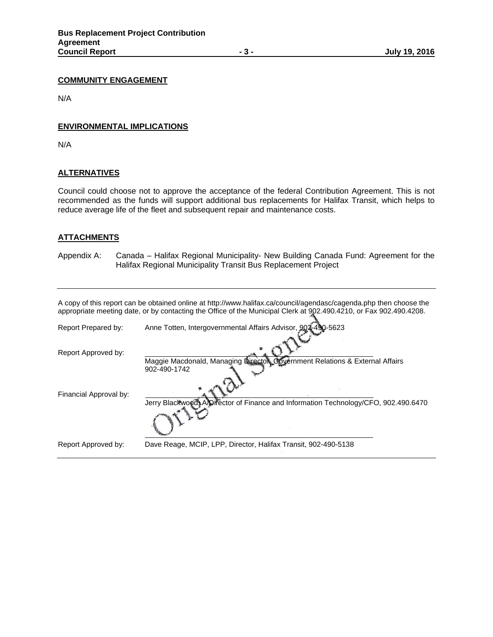#### **COMMUNITY ENGAGEMENT**

N/A

#### **ENVIRONMENTAL IMPLICATIONS**

N/A

#### **ALTERNATIVES**

Council could choose not to approve the acceptance of the federal Contribution Agreement. This is not recommended as the funds will support additional bus replacements for Halifax Transit, which helps to reduce average life of the fleet and subsequent repair and maintenance costs.

#### **ATTACHMENTS**

Appendix A: Canada – Halifax Regional Municipality- New Building Canada Fund: Agreement for the Halifax Regional Municipality Transit Bus Replacement Project

| A copy of this report can be obtained online at http://www.halifax.ca/council/agendasc/cagenda.php then choose the |
|--------------------------------------------------------------------------------------------------------------------|
| appropriate meeting date, or by contacting the Office of the Municipal Clerk at 902.490.4210, or Fax 902.490.4208. |

| Report Prepared by:    | Anne Totten, Intergovernmental Affairs Advisor, 904-490-5623                                       |
|------------------------|----------------------------------------------------------------------------------------------------|
| Report Approved by:    | Maggie Macdonald, Managing Light Sovernment Relations & External Affairs                           |
| Financial Approval by: | 902-490-1742<br>Jerry Blackwood, Apirector of Finance and Information Technology/CFO, 902.490.6470 |
|                        |                                                                                                    |
| Report Approved by:    | Dave Reage, MCIP, LPP, Director, Halifax Transit, 902-490-5138                                     |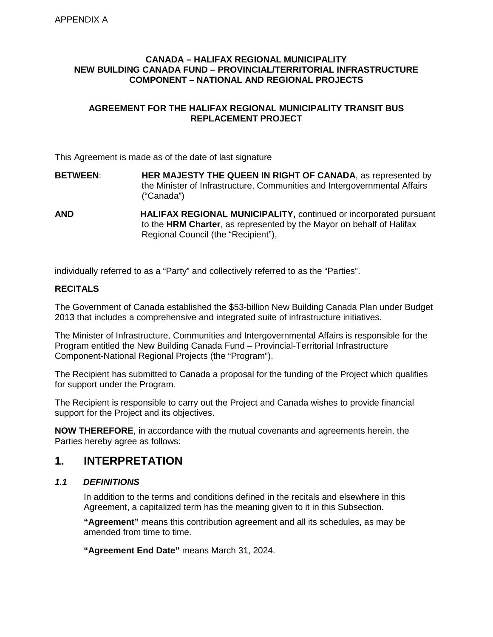#### **CANADA – HALIFAX REGIONAL MUNICIPALITY NEW BUILDING CANADA FUND – PROVINCIAL/TERRITORIAL INFRASTRUCTURE COMPONENT – NATIONAL AND REGIONAL PROJECTS**

### **AGREEMENT FOR THE HALIFAX REGIONAL MUNICIPALITY TRANSIT BUS REPLACEMENT PROJECT**

This Agreement is made as of the date of last signature

- **BETWEEN**: **HER MAJESTY THE QUEEN IN RIGHT OF CANADA**, as represented by the Minister of Infrastructure, Communities and Intergovernmental Affairs ("Canada")
- **AND HALIFAX REGIONAL MUNICIPALITY,** continued or incorporated pursuant to the **HRM Charter**, as represented by the Mayor on behalf of Halifax Regional Council (the "Recipient"),

individually referred to as a "Party" and collectively referred to as the "Parties".

### **RECITALS**

The Government of Canada established the \$53-billion New Building Canada Plan under Budget 2013 that includes a comprehensive and integrated suite of infrastructure initiatives.

The Minister of Infrastructure, Communities and Intergovernmental Affairs is responsible for the Program entitled the New Building Canada Fund – Provincial-Territorial Infrastructure Component-National Regional Projects (the "Program").

The Recipient has submitted to Canada a proposal for the funding of the Project which qualifies for support under the Program.

The Recipient is responsible to carry out the Project and Canada wishes to provide financial support for the Project and its objectives.

**NOW THEREFORE**, in accordance with the mutual covenants and agreements herein, the Parties hereby agree as follows:

## **1. INTERPRETATION**

### *1.1 DEFINITIONS*

In addition to the terms and conditions defined in the recitals and elsewhere in this Agreement, a capitalized term has the meaning given to it in this Subsection.

**"Agreement"** means this contribution agreement and all its schedules, as may be amended from time to time.

**"Agreement End Date"** means March 31, 2024.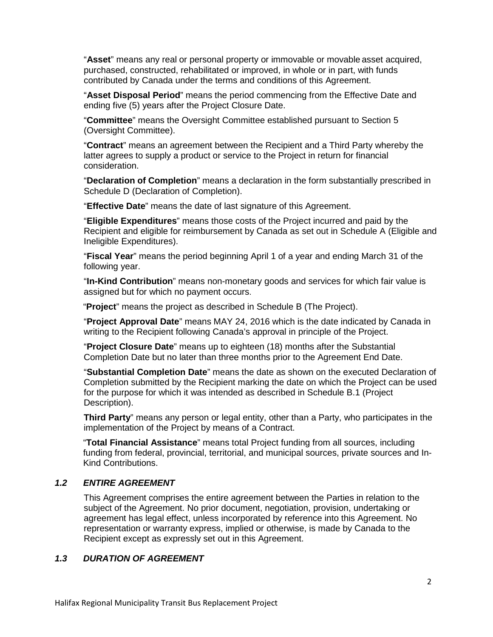"**Asset**" means any real or personal property or immovable or movable asset acquired, purchased, constructed, rehabilitated or improved, in whole or in part, with funds contributed by Canada under the terms and conditions of this Agreement.

"**Asset Disposal Period**" means the period commencing from the Effective Date and ending five (5) years after the Project Closure Date.

"**Committee**" means the Oversight Committee established pursuant to Section 5 (Oversight Committee).

"**Contract**" means an agreement between the Recipient and a Third Party whereby the latter agrees to supply a product or service to the Project in return for financial consideration.

"**Declaration of Completion**" means a declaration in the form substantially prescribed in Schedule D (Declaration of Completion).

"**Effective Date**" means the date of last signature of this Agreement.

"**Eligible Expenditures**" means those costs of the Project incurred and paid by the Recipient and eligible for reimbursement by Canada as set out in Schedule A (Eligible and Ineligible Expenditures).

"**Fiscal Year**" means the period beginning April 1 of a year and ending March 31 of the following year.

"**In-Kind Contribution**" means non-monetary goods and services for which fair value is assigned but for which no payment occurs.

"**Project**" means the project as described in Schedule B (The Project).

"**Project Approval Date**" means MAY 24, 2016 which is the date indicated by Canada in writing to the Recipient following Canada's approval in principle of the Project.

"**Project Closure Date**" means up to eighteen (18) months after the Substantial Completion Date but no later than three months prior to the Agreement End Date.

"**Substantial Completion Date**" means the date as shown on the executed Declaration of Completion submitted by the Recipient marking the date on which the Project can be used for the purpose for which it was intended as described in Schedule B.1 (Project Description).

**Third Party**" means any person or legal entity, other than a Party, who participates in the implementation of the Project by means of a Contract.

"**Total Financial Assistance**" means total Project funding from all sources, including funding from federal, provincial, territorial, and municipal sources, private sources and In-Kind Contributions.

#### *1.2 ENTIRE AGREEMENT*

This Agreement comprises the entire agreement between the Parties in relation to the subject of the Agreement. No prior document, negotiation, provision, undertaking or agreement has legal effect, unless incorporated by reference into this Agreement. No representation or warranty express, implied or otherwise, is made by Canada to the Recipient except as expressly set out in this Agreement.

#### *1.3 DURATION OF AGREEMENT*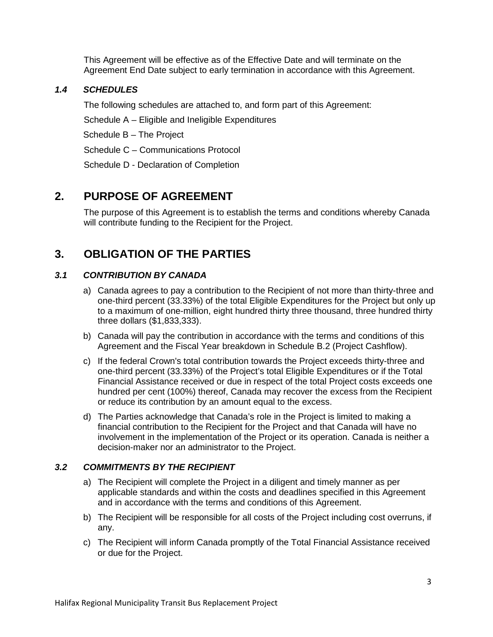This Agreement will be effective as of the Effective Date and will terminate on the Agreement End Date subject to early termination in accordance with this Agreement.

### *1.4 SCHEDULES*

The following schedules are attached to, and form part of this Agreement:

Schedule A – Eligible and Ineligible Expenditures

Schedule B – The Project

Schedule C – Communications Protocol

Schedule D - Declaration of Completion

## **2. PURPOSE OF AGREEMENT**

The purpose of this Agreement is to establish the terms and conditions whereby Canada will contribute funding to the Recipient for the Project.

## **3. OBLIGATION OF THE PARTIES**

### *3.1 CONTRIBUTION BY CANADA*

- a) Canada agrees to pay a contribution to the Recipient of not more than thirty-three and one-third percent (33.33%) of the total Eligible Expenditures for the Project but only up to a maximum of one-million, eight hundred thirty three thousand, three hundred thirty three dollars (\$1,833,333).
- b) Canada will pay the contribution in accordance with the terms and conditions of this Agreement and the Fiscal Year breakdown in Schedule B.2 (Project Cashflow).
- c) If the federal Crown's total contribution towards the Project exceeds thirty-three and one-third percent (33.33%) of the Project's total Eligible Expenditures or if the Total Financial Assistance received or due in respect of the total Project costs exceeds one hundred per cent (100%) thereof, Canada may recover the excess from the Recipient or reduce its contribution by an amount equal to the excess.
- d) The Parties acknowledge that Canada's role in the Project is limited to making a financial contribution to the Recipient for the Project and that Canada will have no involvement in the implementation of the Project or its operation. Canada is neither a decision-maker nor an administrator to the Project.

### *3.2 COMMITMENTS BY THE RECIPIENT*

- a) The Recipient will complete the Project in a diligent and timely manner as per applicable standards and within the costs and deadlines specified in this Agreement and in accordance with the terms and conditions of this Agreement.
- b) The Recipient will be responsible for all costs of the Project including cost overruns, if any.
- c) The Recipient will inform Canada promptly of the Total Financial Assistance received or due for the Project.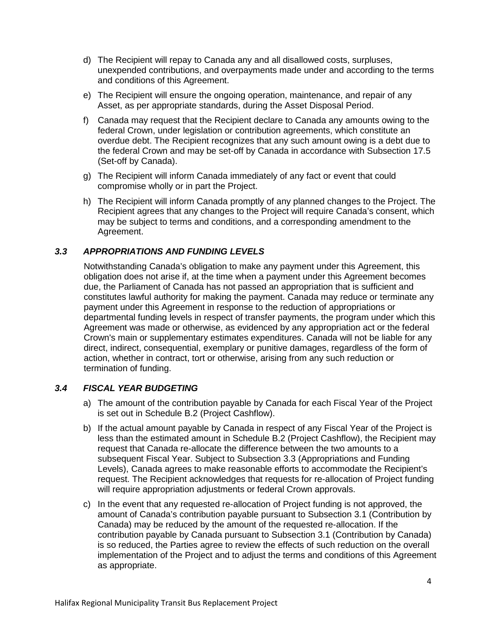- d) The Recipient will repay to Canada any and all disallowed costs, surpluses, unexpended contributions, and overpayments made under and according to the terms and conditions of this Agreement.
- e) The Recipient will ensure the ongoing operation, maintenance, and repair of any Asset, as per appropriate standards, during the Asset Disposal Period.
- f) Canada may request that the Recipient declare to Canada any amounts owing to the federal Crown, under legislation or contribution agreements, which constitute an overdue debt. The Recipient recognizes that any such amount owing is a debt due to the federal Crown and may be set-off by Canada in accordance with Subsection 17.5 (Set-off by Canada).
- g) The Recipient will inform Canada immediately of any fact or event that could compromise wholly or in part the Project.
- h) The Recipient will inform Canada promptly of any planned changes to the Project. The Recipient agrees that any changes to the Project will require Canada's consent, which may be subject to terms and conditions, and a corresponding amendment to the Agreement.

## *3.3 APPROPRIATIONS AND FUNDING LEVELS*

Notwithstanding Canada's obligation to make any payment under this Agreement, this obligation does not arise if, at the time when a payment under this Agreement becomes due, the Parliament of Canada has not passed an appropriation that is sufficient and constitutes lawful authority for making the payment. Canada may reduce or terminate any payment under this Agreement in response to the reduction of appropriations or departmental funding levels in respect of transfer payments, the program under which this Agreement was made or otherwise, as evidenced by any appropriation act or the federal Crown's main or supplementary estimates expenditures. Canada will not be liable for any direct, indirect, consequential, exemplary or punitive damages, regardless of the form of action, whether in contract, tort or otherwise, arising from any such reduction or termination of funding.

### *3.4 FISCAL YEAR BUDGETING*

- a) The amount of the contribution payable by Canada for each Fiscal Year of the Project is set out in Schedule B.2 (Project Cashflow).
- b) If the actual amount payable by Canada in respect of any Fiscal Year of the Project is less than the estimated amount in Schedule B.2 (Project Cashflow), the Recipient may request that Canada re-allocate the difference between the two amounts to a subsequent Fiscal Year. Subject to Subsection 3.3 (Appropriations and Funding Levels), Canada agrees to make reasonable efforts to accommodate the Recipient's request. The Recipient acknowledges that requests for re-allocation of Project funding will require appropriation adjustments or federal Crown approvals.
- c) In the event that any requested re-allocation of Project funding is not approved, the amount of Canada's contribution payable pursuant to Subsection 3.1 (Contribution by Canada) may be reduced by the amount of the requested re-allocation. If the contribution payable by Canada pursuant to Subsection 3.1 (Contribution by Canada) is so reduced, the Parties agree to review the effects of such reduction on the overall implementation of the Project and to adjust the terms and conditions of this Agreement as appropriate.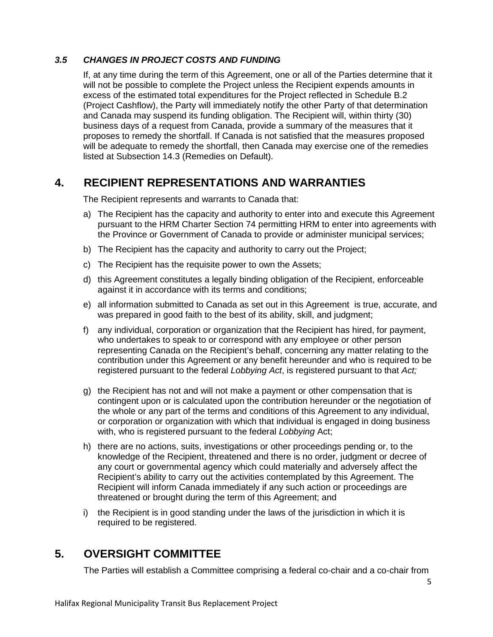### *3.5 CHANGES IN PROJECT COSTS AND FUNDING*

If, at any time during the term of this Agreement, one or all of the Parties determine that it will not be possible to complete the Project unless the Recipient expends amounts in excess of the estimated total expenditures for the Project reflected in Schedule B.2 (Project Cashflow), the Party will immediately notify the other Party of that determination and Canada may suspend its funding obligation. The Recipient will, within thirty (30) business days of a request from Canada, provide a summary of the measures that it proposes to remedy the shortfall. If Canada is not satisfied that the measures proposed will be adequate to remedy the shortfall, then Canada may exercise one of the remedies listed at Subsection 14.3 (Remedies on Default).

## **4. RECIPIENT REPRESENTATIONS AND WARRANTIES**

The Recipient represents and warrants to Canada that:

- a) The Recipient has the capacity and authority to enter into and execute this Agreement pursuant to the HRM Charter Section 74 permitting HRM to enter into agreements with the Province or Government of Canada to provide or administer municipal services;
- b) The Recipient has the capacity and authority to carry out the Project;
- c) The Recipient has the requisite power to own the Assets;
- d) this Agreement constitutes a legally binding obligation of the Recipient, enforceable against it in accordance with its terms and conditions;
- e) all information submitted to Canada as set out in this Agreement is true, accurate, and was prepared in good faith to the best of its ability, skill, and judgment;
- f) any individual, corporation or organization that the Recipient has hired, for payment, who undertakes to speak to or correspond with any employee or other person representing Canada on the Recipient's behalf, concerning any matter relating to the contribution under this Agreement or any benefit hereunder and who is required to be registered pursuant to the federal *Lobbying Act*, is registered pursuant to that *Act;*
- g) the Recipient has not and will not make a payment or other compensation that is contingent upon or is calculated upon the contribution hereunder or the negotiation of the whole or any part of the terms and conditions of this Agreement to any individual, or corporation or organization with which that individual is engaged in doing business with, who is registered pursuant to the federal *Lobbying* Act;
- h) there are no actions, suits, investigations or other proceedings pending or, to the knowledge of the Recipient, threatened and there is no order, judgment or decree of any court or governmental agency which could materially and adversely affect the Recipient's ability to carry out the activities contemplated by this Agreement. The Recipient will inform Canada immediately if any such action or proceedings are threatened or brought during the term of this Agreement; and
- i) the Recipient is in good standing under the laws of the jurisdiction in which it is required to be registered.

## **5. OVERSIGHT COMMITTEE**

The Parties will establish a Committee comprising a federal co-chair and a co-chair from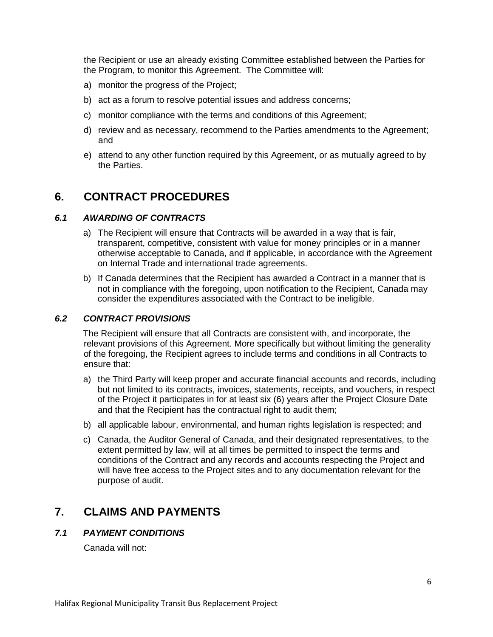the Recipient or use an already existing Committee established between the Parties for the Program, to monitor this Agreement. The Committee will:

- a) monitor the progress of the Project;
- b) act as a forum to resolve potential issues and address concerns;
- c) monitor compliance with the terms and conditions of this Agreement;
- d) review and as necessary, recommend to the Parties amendments to the Agreement; and
- e) attend to any other function required by this Agreement, or as mutually agreed to by the Parties.

## **6. CONTRACT PROCEDURES**

#### *6.1 AWARDING OF CONTRACTS*

- a) The Recipient will ensure that Contracts will be awarded in a way that is fair, transparent, competitive, consistent with value for money principles or in a manner otherwise acceptable to Canada, and if applicable, in accordance with the Agreement on Internal Trade and international trade agreements.
- b) If Canada determines that the Recipient has awarded a Contract in a manner that is not in compliance with the foregoing, upon notification to the Recipient, Canada may consider the expenditures associated with the Contract to be ineligible.

### *6.2 CONTRACT PROVISIONS*

The Recipient will ensure that all Contracts are consistent with, and incorporate, the relevant provisions of this Agreement. More specifically but without limiting the generality of the foregoing, the Recipient agrees to include terms and conditions in all Contracts to ensure that:

- a) the Third Party will keep proper and accurate financial accounts and records, including but not limited to its contracts, invoices, statements, receipts, and vouchers, in respect of the Project it participates in for at least six (6) years after the Project Closure Date and that the Recipient has the contractual right to audit them;
- b) all applicable labour, environmental, and human rights legislation is respected; and
- c) Canada, the Auditor General of Canada, and their designated representatives, to the extent permitted by law, will at all times be permitted to inspect the terms and conditions of the Contract and any records and accounts respecting the Project and will have free access to the Project sites and to any documentation relevant for the purpose of audit.

## **7. CLAIMS AND PAYMENTS**

#### *7.1 PAYMENT CONDITIONS*

Canada will not: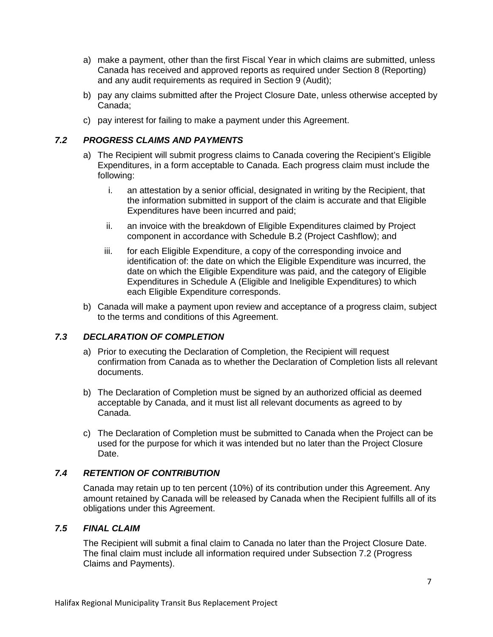- a) make a payment, other than the first Fiscal Year in which claims are submitted, unless Canada has received and approved reports as required under Section 8 (Reporting) and any audit requirements as required in Section 9 (Audit);
- b) pay any claims submitted after the Project Closure Date, unless otherwise accepted by Canada;
- c) pay interest for failing to make a payment under this Agreement.

### *7.2 PROGRESS CLAIMS AND PAYMENTS*

- a) The Recipient will submit progress claims to Canada covering the Recipient's Eligible Expenditures, in a form acceptable to Canada. Each progress claim must include the following:
	- i. an attestation by a senior official, designated in writing by the Recipient, that the information submitted in support of the claim is accurate and that Eligible Expenditures have been incurred and paid;
	- ii. an invoice with the breakdown of Eligible Expenditures claimed by Project component in accordance with Schedule B.2 (Project Cashflow); and
	- iii. for each Eligible Expenditure, a copy of the corresponding invoice and identification of: the date on which the Eligible Expenditure was incurred, the date on which the Eligible Expenditure was paid, and the category of Eligible Expenditures in Schedule A (Eligible and Ineligible Expenditures) to which each Eligible Expenditure corresponds.
- b) Canada will make a payment upon review and acceptance of a progress claim, subject to the terms and conditions of this Agreement.

## *7.3 DECLARATION OF COMPLETION*

- a) Prior to executing the Declaration of Completion, the Recipient will request confirmation from Canada as to whether the Declaration of Completion lists all relevant documents.
- b) The Declaration of Completion must be signed by an authorized official as deemed acceptable by Canada, and it must list all relevant documents as agreed to by Canada.
- c) The Declaration of Completion must be submitted to Canada when the Project can be used for the purpose for which it was intended but no later than the Project Closure Date.

## *7.4 RETENTION OF CONTRIBUTION*

Canada may retain up to ten percent (10%) of its contribution under this Agreement. Any amount retained by Canada will be released by Canada when the Recipient fulfills all of its obligations under this Agreement.

### *7.5 FINAL CLAIM*

The Recipient will submit a final claim to Canada no later than the Project Closure Date. The final claim must include all information required under Subsection 7.2 (Progress Claims and Payments).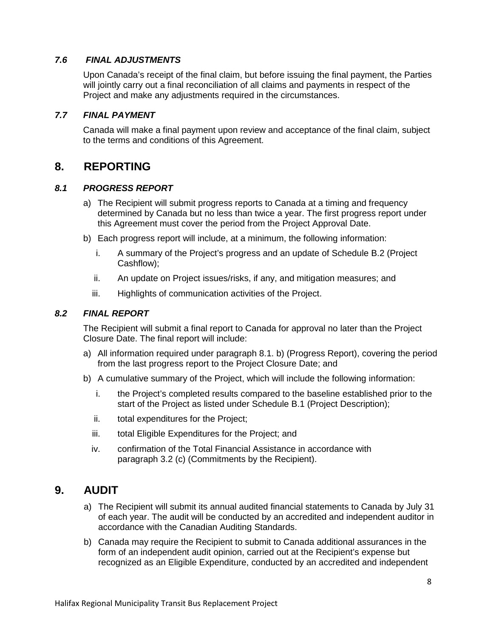### *7.6 FINAL ADJUSTMENTS*

Upon Canada's receipt of the final claim, but before issuing the final payment, the Parties will jointly carry out a final reconciliation of all claims and payments in respect of the Project and make any adjustments required in the circumstances.

### *7.7 FINAL PAYMENT*

Canada will make a final payment upon review and acceptance of the final claim, subject to the terms and conditions of this Agreement.

## **8. REPORTING**

#### *8.1 PROGRESS REPORT*

- a) The Recipient will submit progress reports to Canada at a timing and frequency determined by Canada but no less than twice a year. The first progress report under this Agreement must cover the period from the Project Approval Date.
- b) Each progress report will include, at a minimum, the following information:
	- i. A summary of the Project's progress and an update of Schedule B.2 (Project Cashflow);
	- ii. An update on Project issues/risks, if any, and mitigation measures; and
	- iii. Highlights of communication activities of the Project.

#### *8.2 FINAL REPORT*

The Recipient will submit a final report to Canada for approval no later than the Project Closure Date. The final report will include:

- a) All information required under paragraph 8.1. b) (Progress Report), covering the period from the last progress report to the Project Closure Date; and
- b) A cumulative summary of the Project, which will include the following information:
	- i. the Project's completed results compared to the baseline established prior to the start of the Project as listed under Schedule B.1 (Project Description);
	- ii. total expenditures for the Project;
	- iii. total Eligible Expenditures for the Project; and
	- iv. confirmation of the Total Financial Assistance in accordance with paragraph 3.2 (c) (Commitments by the Recipient).

## **9. AUDIT**

- a) The Recipient will submit its annual audited financial statements to Canada by July 31 of each year. The audit will be conducted by an accredited and independent auditor in accordance with the Canadian Auditing Standards.
- b) Canada may require the Recipient to submit to Canada additional assurances in the form of an independent audit opinion, carried out at the Recipient's expense but recognized as an Eligible Expenditure, conducted by an accredited and independent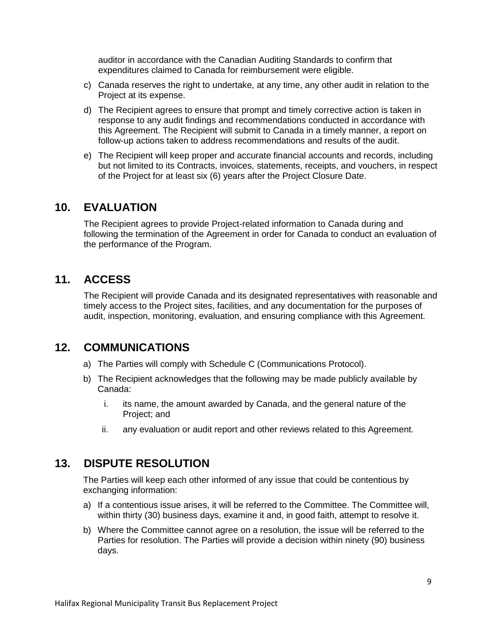auditor in accordance with the Canadian Auditing Standards to confirm that expenditures claimed to Canada for reimbursement were eligible.

- c) Canada reserves the right to undertake, at any time, any other audit in relation to the Project at its expense.
- d) The Recipient agrees to ensure that prompt and timely corrective action is taken in response to any audit findings and recommendations conducted in accordance with this Agreement. The Recipient will submit to Canada in a timely manner, a report on follow-up actions taken to address recommendations and results of the audit.
- e) The Recipient will keep proper and accurate financial accounts and records, including but not limited to its Contracts, invoices, statements, receipts, and vouchers, in respect of the Project for at least six (6) years after the Project Closure Date.

## **10. EVALUATION**

The Recipient agrees to provide Project-related information to Canada during and following the termination of the Agreement in order for Canada to conduct an evaluation of the performance of the Program.

## **11. ACCESS**

The Recipient will provide Canada and its designated representatives with reasonable and timely access to the Project sites, facilities, and any documentation for the purposes of audit, inspection, monitoring, evaluation, and ensuring compliance with this Agreement.

## **12. COMMUNICATIONS**

- a) The Parties will comply with Schedule C (Communications Protocol).
- b) The Recipient acknowledges that the following may be made publicly available by Canada:
	- i. its name, the amount awarded by Canada, and the general nature of the Project; and
	- ii. any evaluation or audit report and other reviews related to this Agreement.

## **13. DISPUTE RESOLUTION**

The Parties will keep each other informed of any issue that could be contentious by exchanging information:

- a) If a contentious issue arises, it will be referred to the Committee. The Committee will, within thirty (30) business days, examine it and, in good faith, attempt to resolve it.
- b) Where the Committee cannot agree on a resolution, the issue will be referred to the Parties for resolution. The Parties will provide a decision within ninety (90) business days.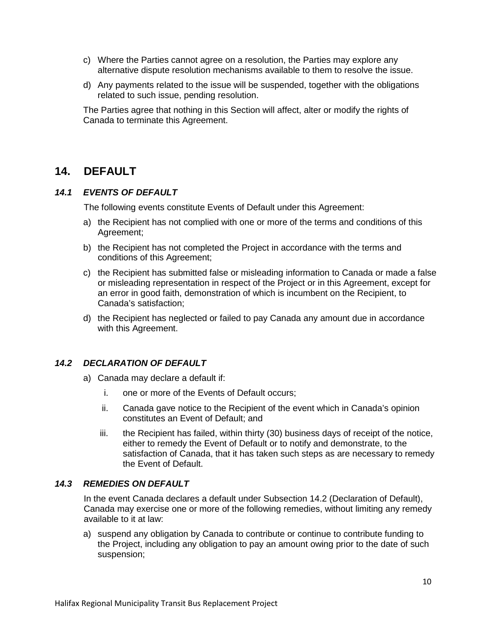- c) Where the Parties cannot agree on a resolution, the Parties may explore any alternative dispute resolution mechanisms available to them to resolve the issue.
- d) Any payments related to the issue will be suspended, together with the obligations related to such issue, pending resolution.

The Parties agree that nothing in this Section will affect, alter or modify the rights of Canada to terminate this Agreement.

## **14. DEFAULT**

### *14.1 EVENTS OF DEFAULT*

The following events constitute Events of Default under this Agreement:

- a) the Recipient has not complied with one or more of the terms and conditions of this Agreement;
- b) the Recipient has not completed the Project in accordance with the terms and conditions of this Agreement;
- c) the Recipient has submitted false or misleading information to Canada or made a false or misleading representation in respect of the Project or in this Agreement, except for an error in good faith, demonstration of which is incumbent on the Recipient, to Canada's satisfaction;
- d) the Recipient has neglected or failed to pay Canada any amount due in accordance with this Agreement.

### *14.2 DECLARATION OF DEFAULT*

- a) Canada may declare a default if:
	- i. one or more of the Events of Default occurs;
	- ii. Canada gave notice to the Recipient of the event which in Canada's opinion constitutes an Event of Default; and
	- iii. the Recipient has failed, within thirty (30) business days of receipt of the notice, either to remedy the Event of Default or to notify and demonstrate, to the satisfaction of Canada, that it has taken such steps as are necessary to remedy the Event of Default.

#### *14.3 REMEDIES ON DEFAULT*

In the event Canada declares a default under Subsection 14.2 (Declaration of Default), Canada may exercise one or more of the following remedies, without limiting any remedy available to it at law:

a) suspend any obligation by Canada to contribute or continue to contribute funding to the Project, including any obligation to pay an amount owing prior to the date of such suspension;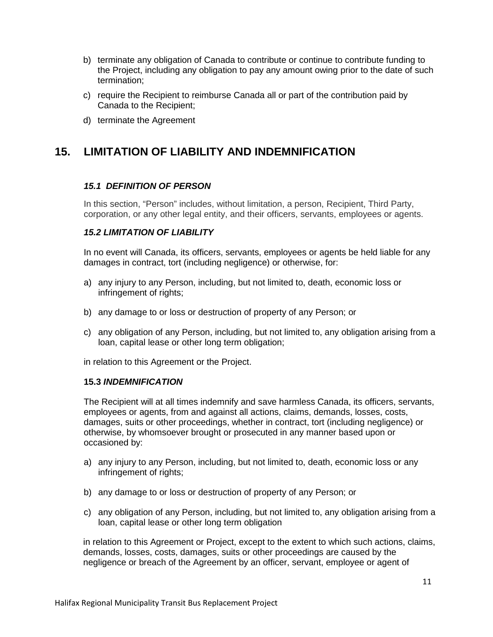- b) terminate any obligation of Canada to contribute or continue to contribute funding to the Project, including any obligation to pay any amount owing prior to the date of such termination;
- c) require the Recipient to reimburse Canada all or part of the contribution paid by Canada to the Recipient;
- d) terminate the Agreement

# **15. LIMITATION OF LIABILITY AND INDEMNIFICATION**

### *15.1 DEFINITION OF PERSON*

In this section, "Person" includes, without limitation, a person, Recipient, Third Party, corporation, or any other legal entity, and their officers, servants, employees or agents.

#### *15.2 LIMITATION OF LIABILITY*

In no event will Canada, its officers, servants, employees or agents be held liable for any damages in contract, tort (including negligence) or otherwise, for:

- a) any injury to any Person, including, but not limited to, death, economic loss or infringement of rights;
- b) any damage to or loss or destruction of property of any Person; or
- c) any obligation of any Person, including, but not limited to, any obligation arising from a loan, capital lease or other long term obligation;

in relation to this Agreement or the Project.

#### **15.3** *INDEMNIFICATION*

The Recipient will at all times indemnify and save harmless Canada, its officers, servants, employees or agents, from and against all actions, claims, demands, losses, costs, damages, suits or other proceedings, whether in contract, tort (including negligence) or otherwise, by whomsoever brought or prosecuted in any manner based upon or occasioned by:

- a) any injury to any Person, including, but not limited to, death, economic loss or any infringement of rights;
- b) any damage to or loss or destruction of property of any Person; or
- c) any obligation of any Person, including, but not limited to, any obligation arising from a loan, capital lease or other long term obligation

in relation to this Agreement or Project, except to the extent to which such actions, claims, demands, losses, costs, damages, suits or other proceedings are caused by the negligence or breach of the Agreement by an officer, servant, employee or agent of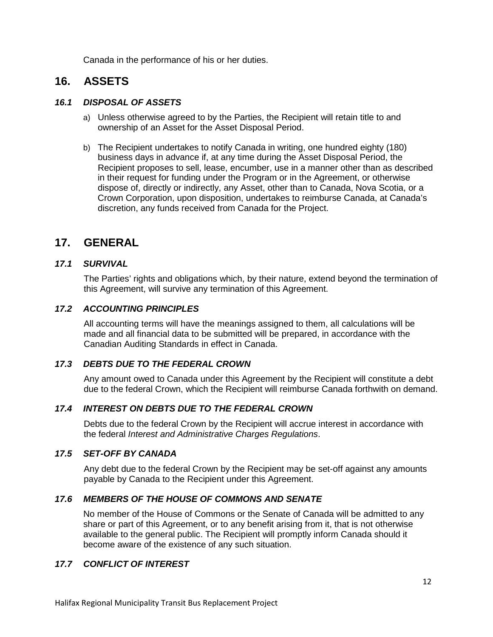Canada in the performance of his or her duties.

## **16. ASSETS**

### *16.1 DISPOSAL OF ASSETS*

- a) Unless otherwise agreed to by the Parties, the Recipient will retain title to and ownership of an Asset for the Asset Disposal Period.
- b) The Recipient undertakes to notify Canada in writing, one hundred eighty (180) business days in advance if, at any time during the Asset Disposal Period, the Recipient proposes to sell, lease, encumber, use in a manner other than as described in their request for funding under the Program or in the Agreement, or otherwise dispose of, directly or indirectly, any Asset, other than to Canada, Nova Scotia, or a Crown Corporation, upon disposition, undertakes to reimburse Canada, at Canada's discretion, any funds received from Canada for the Project.

## **17. GENERAL**

## *17.1 SURVIVAL*

The Parties' rights and obligations which, by their nature, extend beyond the termination of this Agreement, will survive any termination of this Agreement.

#### *17.2 ACCOUNTING PRINCIPLES*

All accounting terms will have the meanings assigned to them, all calculations will be made and all financial data to be submitted will be prepared, in accordance with the Canadian Auditing Standards in effect in Canada.

### *17.3 DEBTS DUE TO THE FEDERAL CROWN*

Any amount owed to Canada under this Agreement by the Recipient will constitute a debt due to the federal Crown, which the Recipient will reimburse Canada forthwith on demand.

### *17.4 INTEREST ON DEBTS DUE TO THE FEDERAL CROWN*

Debts due to the federal Crown by the Recipient will accrue interest in accordance with the federal *Interest and Administrative Charges Regulations*.

#### *17.5 SET-OFF BY CANADA*

Any debt due to the federal Crown by the Recipient may be set-off against any amounts payable by Canada to the Recipient under this Agreement.

### *17.6 MEMBERS OF THE HOUSE OF COMMONS AND SENATE*

No member of the House of Commons or the Senate of Canada will be admitted to any share or part of this Agreement, or to any benefit arising from it, that is not otherwise available to the general public. The Recipient will promptly inform Canada should it become aware of the existence of any such situation.

### *17.7 CONFLICT OF INTEREST*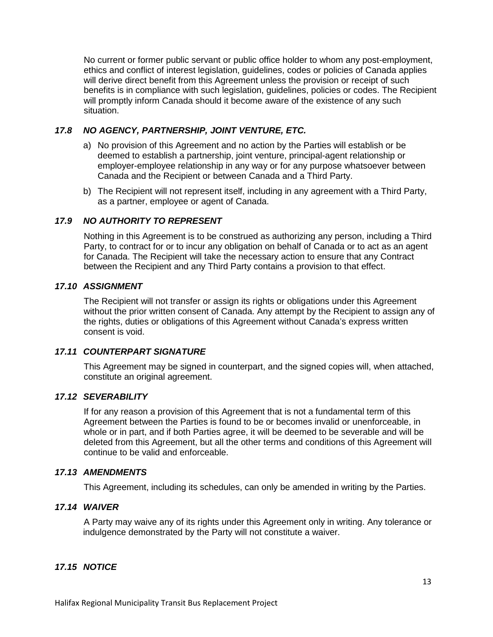No current or former public servant or public office holder to whom any post-employment, ethics and conflict of interest legislation, guidelines, codes or policies of Canada applies will derive direct benefit from this Agreement unless the provision or receipt of such benefits is in compliance with such legislation, guidelines, policies or codes. The Recipient will promptly inform Canada should it become aware of the existence of any such situation.

### *17.8 NO AGENCY, PARTNERSHIP, JOINT VENTURE, ETC.*

- a) No provision of this Agreement and no action by the Parties will establish or be deemed to establish a partnership, joint venture, principal-agent relationship or employer-employee relationship in any way or for any purpose whatsoever between Canada and the Recipient or between Canada and a Third Party.
- b) The Recipient will not represent itself, including in any agreement with a Third Party, as a partner, employee or agent of Canada.

## *17.9 NO AUTHORITY TO REPRESENT*

Nothing in this Agreement is to be construed as authorizing any person, including a Third Party, to contract for or to incur any obligation on behalf of Canada or to act as an agent for Canada. The Recipient will take the necessary action to ensure that any Contract between the Recipient and any Third Party contains a provision to that effect.

## *17.10 ASSIGNMENT*

The Recipient will not transfer or assign its rights or obligations under this Agreement without the prior written consent of Canada. Any attempt by the Recipient to assign any of the rights, duties or obligations of this Agreement without Canada's express written consent is void.

### *17.11 COUNTERPART SIGNATURE*

This Agreement may be signed in counterpart, and the signed copies will, when attached, constitute an original agreement.

#### *17.12 SEVERABILITY*

If for any reason a provision of this Agreement that is not a fundamental term of this Agreement between the Parties is found to be or becomes invalid or unenforceable, in whole or in part, and if both Parties agree, it will be deemed to be severable and will be deleted from this Agreement, but all the other terms and conditions of this Agreement will continue to be valid and enforceable.

### *17.13 AMENDMENTS*

This Agreement, including its schedules, can only be amended in writing by the Parties.

### *17.14 WAIVER*

A Party may waive any of its rights under this Agreement only in writing. Any tolerance or indulgence demonstrated by the Party will not constitute a waiver.

### *17.15 NOTICE*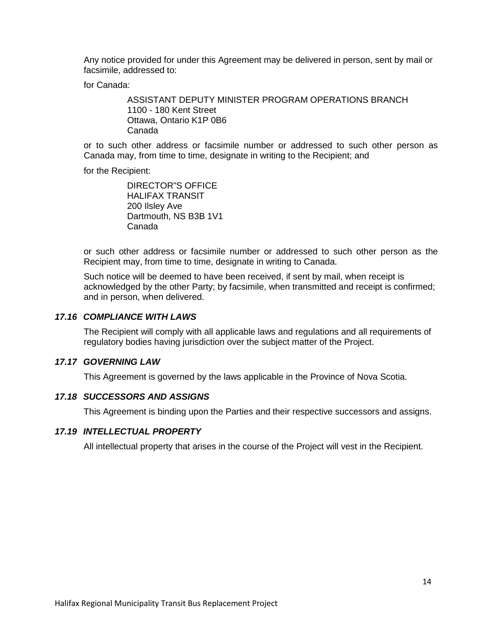Any notice provided for under this Agreement may be delivered in person, sent by mail or facsimile, addressed to:

for Canada:

ASSISTANT DEPUTY MINISTER PROGRAM OPERATIONS BRANCH 1100 - 180 Kent Street Ottawa, Ontario K1P 0B6 Canada

or to such other address or facsimile number or addressed to such other person as Canada may, from time to time, designate in writing to the Recipient; and

for the Recipient:

DIRECTOR"S OFFICE HALIFAX TRANSIT 200 Ilsley Ave Dartmouth, NS B3B 1V1 Canada

or such other address or facsimile number or addressed to such other person as the Recipient may, from time to time, designate in writing to Canada.

Such notice will be deemed to have been received, if sent by mail, when receipt is acknowledged by the other Party; by facsimile, when transmitted and receipt is confirmed; and in person, when delivered.

#### *17.16 COMPLIANCE WITH LAWS*

The Recipient will comply with all applicable laws and regulations and all requirements of regulatory bodies having jurisdiction over the subject matter of the Project.

#### *17.17 GOVERNING LAW*

This Agreement is governed by the laws applicable in the Province of Nova Scotia.

#### *17.18 SUCCESSORS AND ASSIGNS*

This Agreement is binding upon the Parties and their respective successors and assigns.

#### *17.19 INTELLECTUAL PROPERTY*

All intellectual property that arises in the course of the Project will vest in the Recipient.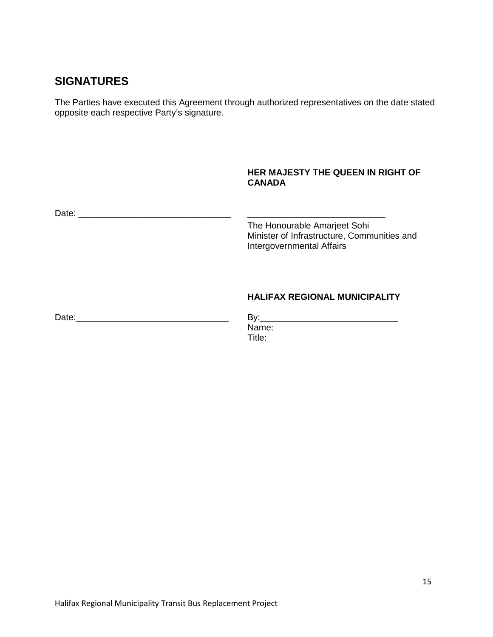# **SIGNATURES**

The Parties have executed this Agreement through authorized representatives on the date stated opposite each respective Party's signature.

### **HER MAJESTY THE QUEEN IN RIGHT OF CANADA**

| Date:<br><u> 1980 - Jan Samuel Barbara, martin da shekara tsara 1980 - An tsara 1980 - An tsara 1980 - An tsara 1980 - An</u> | The Honourable Amarjeet Sohi<br>Minister of Infrastructure, Communities and<br>Intergovernmental Affairs |
|-------------------------------------------------------------------------------------------------------------------------------|----------------------------------------------------------------------------------------------------------|
|                                                                                                                               | <b>HALIFAX REGIONAL MUNICIPALITY</b>                                                                     |
| Date:                                                                                                                         | Name:                                                                                                    |

Title: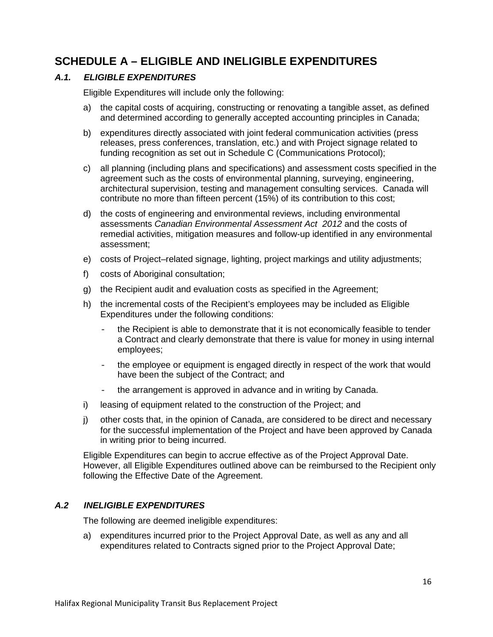# **SCHEDULE A – ELIGIBLE AND INELIGIBLE EXPENDITURES**

### *A.1. ELIGIBLE EXPENDITURES*

Eligible Expenditures will include only the following:

- a) the capital costs of acquiring, constructing or renovating a tangible asset, as defined and determined according to generally accepted accounting principles in Canada;
- b) expenditures directly associated with joint federal communication activities (press releases, press conferences, translation, etc.) and with Project signage related to funding recognition as set out in Schedule C (Communications Protocol);
- c) all planning (including plans and specifications) and assessment costs specified in the agreement such as the costs of environmental planning, surveying, engineering, architectural supervision, testing and management consulting services. Canada will contribute no more than fifteen percent (15%) of its contribution to this cost;
- d) the costs of engineering and environmental reviews, including environmental assessments *Canadian Environmental Assessment Act 2012* and the costs of remedial activities, mitigation measures and follow-up identified in any environmental assessment;
- e) costs of Project–related signage, lighting, project markings and utility adjustments;
- f) costs of Aboriginal consultation;
- g) the Recipient audit and evaluation costs as specified in the Agreement;
- h) the incremental costs of the Recipient's employees may be included as Eligible Expenditures under the following conditions:
	- the Recipient is able to demonstrate that it is not economically feasible to tender a Contract and clearly demonstrate that there is value for money in using internal employees;
	- the employee or equipment is engaged directly in respect of the work that would have been the subject of the Contract; and
	- the arrangement is approved in advance and in writing by Canada.
- i) leasing of equipment related to the construction of the Project; and
- j) other costs that, in the opinion of Canada, are considered to be direct and necessary for the successful implementation of the Project and have been approved by Canada in writing prior to being incurred.

Eligible Expenditures can begin to accrue effective as of the Project Approval Date. However, all Eligible Expenditures outlined above can be reimbursed to the Recipient only following the Effective Date of the Agreement.

#### *A.2 INELIGIBLE EXPENDITURES*

The following are deemed ineligible expenditures:

a) expenditures incurred prior to the Project Approval Date, as well as any and all expenditures related to Contracts signed prior to the Project Approval Date;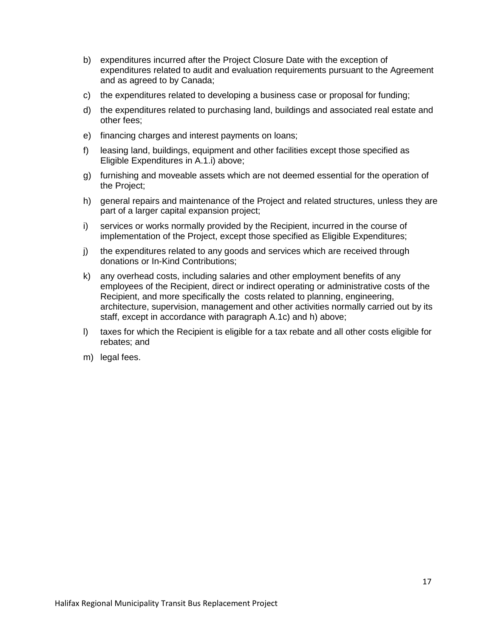- b) expenditures incurred after the Project Closure Date with the exception of expenditures related to audit and evaluation requirements pursuant to the Agreement and as agreed to by Canada;
- c) the expenditures related to developing a business case or proposal for funding;
- d) the expenditures related to purchasing land, buildings and associated real estate and other fees;
- e) financing charges and interest payments on loans;
- f) leasing land, buildings, equipment and other facilities except those specified as Eligible Expenditures in A.1.i) above;
- g) furnishing and moveable assets which are not deemed essential for the operation of the Project;
- h) general repairs and maintenance of the Project and related structures, unless they are part of a larger capital expansion project;
- i) services or works normally provided by the Recipient, incurred in the course of implementation of the Project, except those specified as Eligible Expenditures;
- j) the expenditures related to any goods and services which are received through donations or In-Kind Contributions;
- k) any overhead costs, including salaries and other employment benefits of any employees of the Recipient, direct or indirect operating or administrative costs of the Recipient, and more specifically the costs related to planning, engineering, architecture, supervision, management and other activities normally carried out by its staff, except in accordance with paragraph A.1c) and h) above;
- l) taxes for which the Recipient is eligible for a tax rebate and all other costs eligible for rebates; and
- m) legal fees.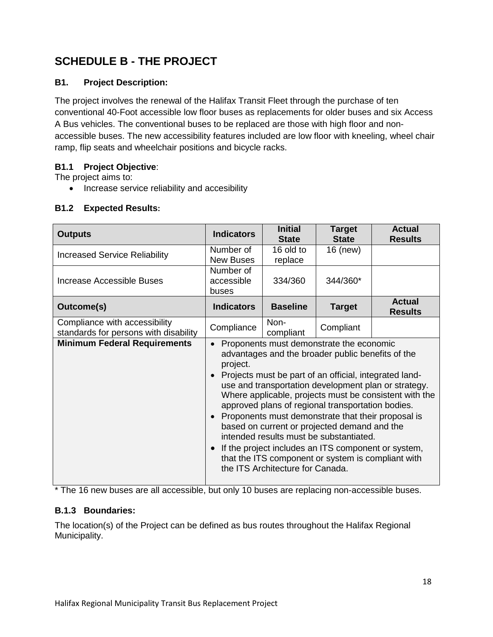# **SCHEDULE B - THE PROJECT**

## **B1. Project Description:**

The project involves the renewal of the Halifax Transit Fleet through the purchase of ten conventional 40-Foot accessible low floor buses as replacements for older buses and six Access A Bus vehicles. The conventional buses to be replaced are those with high floor and nonaccessible buses. The new accessibility features included are low floor with kneeling, wheel chair ramp, flip seats and wheelchair positions and bicycle racks.

## **B1.1 Project Objective**:

The project aims to:

• Increase service reliability and accesibility

| <b>Outputs</b>                                                         | <b>Indicators</b>                                                                                                                                                                                                                                                                                                                                                                                                                                                                                                                                                                                                                            | <b>Initial</b><br><b>State</b> | <b>Target</b><br><b>State</b> | <b>Actual</b><br><b>Results</b> |  |  |
|------------------------------------------------------------------------|----------------------------------------------------------------------------------------------------------------------------------------------------------------------------------------------------------------------------------------------------------------------------------------------------------------------------------------------------------------------------------------------------------------------------------------------------------------------------------------------------------------------------------------------------------------------------------------------------------------------------------------------|--------------------------------|-------------------------------|---------------------------------|--|--|
| <b>Increased Service Reliability</b>                                   | Number of<br><b>New Buses</b>                                                                                                                                                                                                                                                                                                                                                                                                                                                                                                                                                                                                                | 16 old to<br>replace           | 16 (new)                      |                                 |  |  |
| Increase Accessible Buses                                              | Number of<br>accessible<br>buses                                                                                                                                                                                                                                                                                                                                                                                                                                                                                                                                                                                                             | 334/360                        | 344/360*                      |                                 |  |  |
| <b>Outcome(s)</b>                                                      | <b>Indicators</b>                                                                                                                                                                                                                                                                                                                                                                                                                                                                                                                                                                                                                            | <b>Baseline</b>                | <b>Target</b>                 | <b>Actual</b><br><b>Results</b> |  |  |
| Compliance with accessibility<br>standards for persons with disability | Compliance                                                                                                                                                                                                                                                                                                                                                                                                                                                                                                                                                                                                                                   | Non-<br>compliant              | Compliant                     |                                 |  |  |
| <b>Minimum Federal Requirements</b>                                    | Proponents must demonstrate the economic<br>advantages and the broader public benefits of the<br>project.<br>Projects must be part of an official, integrated land-<br>use and transportation development plan or strategy.<br>Where applicable, projects must be consistent with the<br>approved plans of regional transportation bodies.<br>Proponents must demonstrate that their proposal is<br>based on current or projected demand and the<br>intended results must be substantiated.<br>If the project includes an ITS component or system,<br>that the ITS component or system is compliant with<br>the ITS Architecture for Canada. |                                |                               |                                 |  |  |

## **B1.2 Expected Results:**

\* The 16 new buses are all accessible, but only 10 buses are replacing non-accessible buses.

## **B.1.3 Boundaries:**

The location(s) of the Project can be defined as bus routes throughout the Halifax Regional Municipality.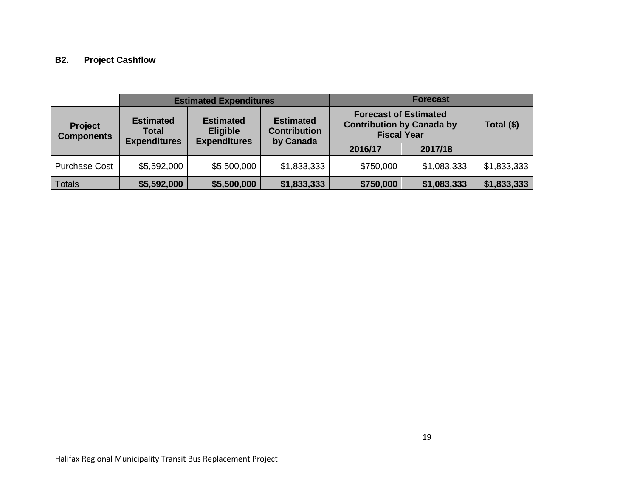# **B2. Project Cashflow**

|                                     | <b>Estimated Expenditures</b>                                                                                                                                                 |             |                                                                                        | <b>Forecast</b> |             |             |
|-------------------------------------|-------------------------------------------------------------------------------------------------------------------------------------------------------------------------------|-------------|----------------------------------------------------------------------------------------|-----------------|-------------|-------------|
| <b>Project</b><br><b>Components</b> | <b>Estimated</b><br><b>Estimated</b><br><b>Estimated</b><br><b>Contribution</b><br><b>Eligible</b><br><b>Total</b><br><b>Expenditures</b><br><b>Expenditures</b><br>by Canada |             | <b>Forecast of Estimated</b><br><b>Contribution by Canada by</b><br><b>Fiscal Year</b> |                 | Total (\$)  |             |
|                                     |                                                                                                                                                                               |             |                                                                                        | 2016/17         | 2017/18     |             |
| <b>Purchase Cost</b>                | \$5,592,000                                                                                                                                                                   | \$5,500,000 | \$1,833,333                                                                            | \$750,000       | \$1,083,333 | \$1,833,333 |
| Totals                              | \$5,592,000                                                                                                                                                                   | \$5,500,000 | \$1,833,333                                                                            | \$750,000       | \$1,083,333 | \$1,833,333 |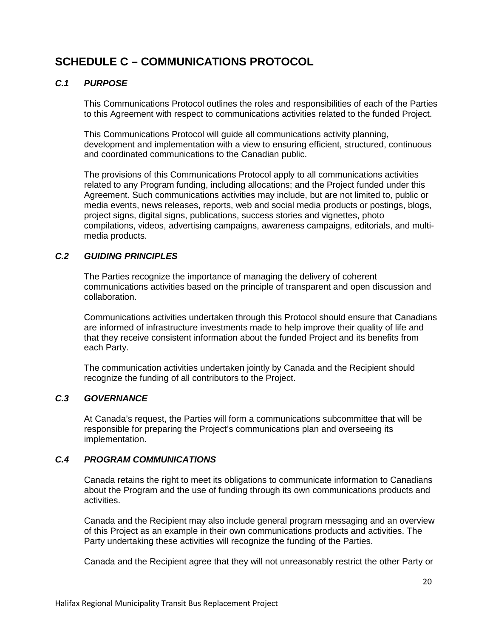# **SCHEDULE C – COMMUNICATIONS PROTOCOL**

### *C.1 PURPOSE*

This Communications Protocol outlines the roles and responsibilities of each of the Parties to this Agreement with respect to communications activities related to the funded Project.

This Communications Protocol will guide all communications activity planning, development and implementation with a view to ensuring efficient, structured, continuous and coordinated communications to the Canadian public.

The provisions of this Communications Protocol apply to all communications activities related to any Program funding, including allocations; and the Project funded under this Agreement. Such communications activities may include, but are not limited to, public or media events, news releases, reports, web and social media products or postings, blogs, project signs, digital signs, publications, success stories and vignettes, photo compilations, videos, advertising campaigns, awareness campaigns, editorials, and multimedia products.

## *C.2 GUIDING PRINCIPLES*

The Parties recognize the importance of managing the delivery of coherent communications activities based on the principle of transparent and open discussion and collaboration.

Communications activities undertaken through this Protocol should ensure that Canadians are informed of infrastructure investments made to help improve their quality of life and that they receive consistent information about the funded Project and its benefits from each Party.

The communication activities undertaken jointly by Canada and the Recipient should recognize the funding of all contributors to the Project.

### *C.3 GOVERNANCE*

At Canada's request, the Parties will form a communications subcommittee that will be responsible for preparing the Project's communications plan and overseeing its implementation.

### *C.4 PROGRAM COMMUNICATIONS*

Canada retains the right to meet its obligations to communicate information to Canadians about the Program and the use of funding through its own communications products and activities.

Canada and the Recipient may also include general program messaging and an overview of this Project as an example in their own communications products and activities. The Party undertaking these activities will recognize the funding of the Parties.

Canada and the Recipient agree that they will not unreasonably restrict the other Party or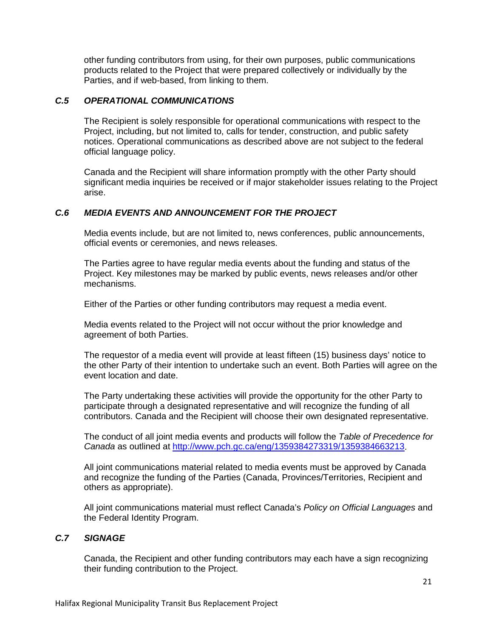other funding contributors from using, for their own purposes, public communications products related to the Project that were prepared collectively or individually by the Parties, and if web-based, from linking to them.

#### *C.5 OPERATIONAL COMMUNICATIONS*

The Recipient is solely responsible for operational communications with respect to the Project, including, but not limited to, calls for tender, construction, and public safety notices. Operational communications as described above are not subject to the federal official language policy.

Canada and the Recipient will share information promptly with the other Party should significant media inquiries be received or if major stakeholder issues relating to the Project arise.

#### *C.6 MEDIA EVENTS AND ANNOUNCEMENT FOR THE PROJECT*

Media events include, but are not limited to, news conferences, public announcements, official events or ceremonies, and news releases.

The Parties agree to have regular media events about the funding and status of the Project. Key milestones may be marked by public events, news releases and/or other mechanisms.

Either of the Parties or other funding contributors may request a media event.

Media events related to the Project will not occur without the prior knowledge and agreement of both Parties.

The requestor of a media event will provide at least fifteen (15) business days' notice to the other Party of their intention to undertake such an event. Both Parties will agree on the event location and date.

The Party undertaking these activities will provide the opportunity for the other Party to participate through a designated representative and will recognize the funding of all contributors. Canada and the Recipient will choose their own designated representative.

The conduct of all joint media events and products will follow the *Table of Precedence for Canada* as outlined at [http://www.pch.gc.ca/eng/1359384273319/1359384663213.](http://www.pch.gc.ca/eng/1359384273319/1359384663213)

All joint communications material related to media events must be approved by Canada and recognize the funding of the Parties (Canada, Provinces/Territories, Recipient and others as appropriate).

All joint communications material must reflect Canada's *Policy on Official Languages* and the Federal Identity Program.

#### *C.7 SIGNAGE*

Canada, the Recipient and other funding contributors may each have a sign recognizing their funding contribution to the Project.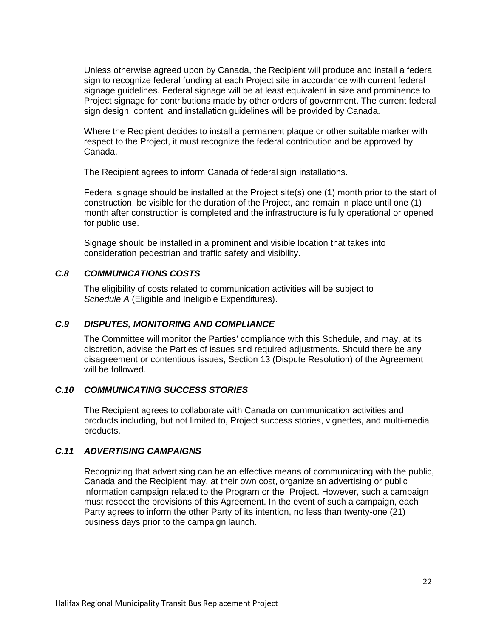Unless otherwise agreed upon by Canada, the Recipient will produce and install a federal sign to recognize federal funding at each Project site in accordance with current federal signage guidelines. Federal signage will be at least equivalent in size and prominence to Project signage for contributions made by other orders of government. The current federal sign design, content, and installation guidelines will be provided by Canada.

Where the Recipient decides to install a permanent plaque or other suitable marker with respect to the Project, it must recognize the federal contribution and be approved by Canada.

The Recipient agrees to inform Canada of federal sign installations.

Federal signage should be installed at the Project site(s) one (1) month prior to the start of construction, be visible for the duration of the Project, and remain in place until one (1) month after construction is completed and the infrastructure is fully operational or opened for public use.

Signage should be installed in a prominent and visible location that takes into consideration pedestrian and traffic safety and visibility.

### *C.8 COMMUNICATIONS COSTS*

The eligibility of costs related to communication activities will be subject to *Schedule A* (Eligible and Ineligible Expenditures).

#### *C.9 DISPUTES, MONITORING AND COMPLIANCE*

The Committee will monitor the Parties' compliance with this Schedule, and may, at its discretion, advise the Parties of issues and required adjustments. Should there be any disagreement or contentious issues, Section 13 (Dispute Resolution) of the Agreement will be followed.

### *C.10 COMMUNICATING SUCCESS STORIES*

The Recipient agrees to collaborate with Canada on communication activities and products including, but not limited to, Project success stories, vignettes, and multi-media products.

#### *C.11 ADVERTISING CAMPAIGNS*

Recognizing that advertising can be an effective means of communicating with the public, Canada and the Recipient may, at their own cost, organize an advertising or public information campaign related to the Program or the Project. However, such a campaign must respect the provisions of this Agreement. In the event of such a campaign, each Party agrees to inform the other Party of its intention, no less than twenty-one (21) business days prior to the campaign launch.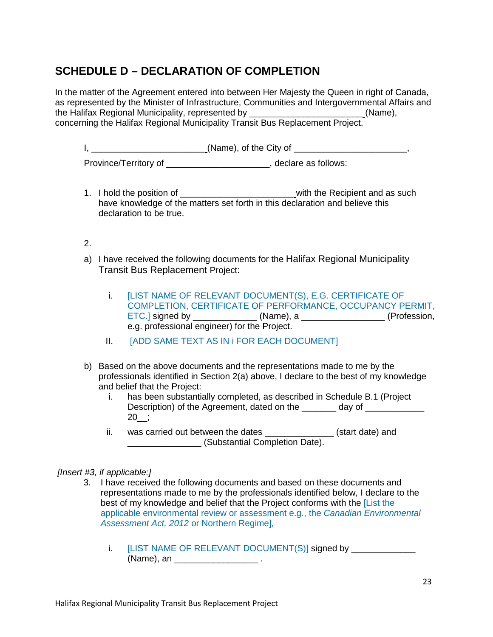# **SCHEDULE D – DECLARATION OF COMPLETION**

In the matter of the Agreement entered into between Her Majesty the Queen in right of Canada, as represented by the Minister of Infrastructure, Communities and Intergovernmental Affairs and the Halifax Regional Municipality, represented by  $(Name)$ ,  $(Name)$ concerning the Halifax Regional Municipality Transit Bus Replacement Project.

I, \_\_\_\_\_\_\_\_\_\_\_\_\_\_\_\_\_\_\_\_\_\_\_\_\_\_\_\_\_\_\_\_\_(Name), of the City of \_\_\_\_\_\_\_\_\_\_\_\_\_\_\_\_\_\_\_\_\_\_, Province/Territory of \_\_\_\_\_\_\_\_\_\_\_\_\_\_\_\_\_\_\_\_\_\_\_, declare as follows:

- 1. I hold the position of the such and as such a with the Recipient and as such have knowledge of the matters set forth in this declaration and believe this declaration to be true.
- 2.
- a) I have received the following documents for the Halifax Regional Municipality Transit Bus Replacement Project:
	- i. [LIST NAME OF RELEVANT DOCUMENT(S), E.G. CERTIFICATE OF COMPLETION, CERTIFICATE OF PERFORMANCE, OCCUPANCY PERMIT, ETC.] signed by \_\_\_\_\_\_\_\_\_\_\_\_\_\_\_\_ (Name), a \_\_\_\_\_\_\_\_\_\_\_\_\_\_\_\_\_\_\_\_ (Profession, e.g. professional engineer) for the Project.
	- II. [ADD SAME TEXT AS IN i FOR EACH DOCUMENT]
- b) Based on the above documents and the representations made to me by the professionals identified in Section 2(a) above, I declare to the best of my knowledge and belief that the Project:
	- i. has been substantially completed, as described in Schedule B.1 (Project Description) of the Agreement, dated on the day of  $20$ ;
	- ii. was carried out between the dates \_\_\_\_\_\_\_\_\_\_\_\_\_\_\_ (start date) and \_\_\_\_\_\_\_\_\_\_\_\_\_\_\_ (Substantial Completion Date).

### *[Insert #3, if applicable:]*

- 3. I have received the following documents and based on these documents and representations made to me by the professionals identified below, I declare to the best of my knowledge and belief that the Project conforms with the [List the applicable environmental review or assessment e.g., the *Canadian Environmental Assessment Act, 2012* or Northern Regime],
	- i. [LIST NAME OF RELEVANT DOCUMENT(S)] signed by \_\_\_\_\_\_\_\_\_\_\_\_\_\_\_\_\_\_\_\_\_\_\_\_\_\_\_\_\_\_\_  $(Name)$ , an  $\blacksquare$